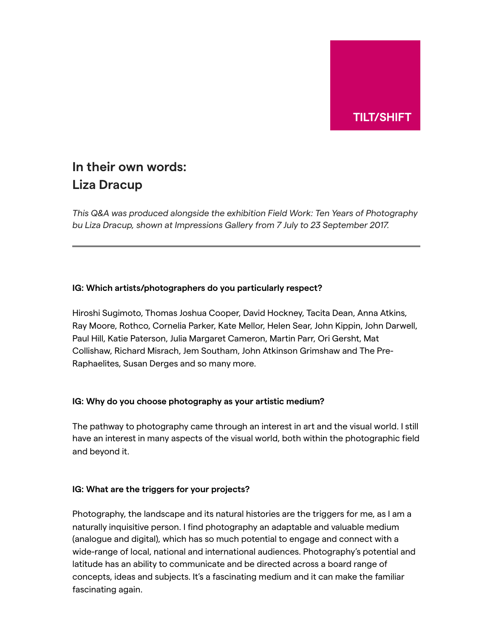

# **In their own words: Liza Dracup**

*This Q&A was produced alongside the exhibition Field Work: Ten Years of Photography bu Liza Dracup, shown at Impressions Gallery from 7 July to 23 September 2017.*

# **IG: Which artists/photographers do you particularly respect?**

Hiroshi Sugimoto, Thomas Joshua Cooper, David Hockney, Tacita Dean, Anna Atkins, Ray Moore, Rothco, Cornelia Parker, Kate Mellor, Helen Sear, John Kippin, John Darwell, Paul Hill, Katie Paterson, Julia Margaret Cameron, Martin Parr, Ori Gersht, Mat Collishaw, Richard Misrach, Jem Southam, John Atkinson Grimshaw and The Pre-Raphaelites, Susan Derges and so many more.

## **IG: Why do you choose photography as your artistic medium?**

The pathway to photography came through an interest in art and the visual world. I still have an interest in many aspects of the visual world, both within the photographic field and beyond it.

## **IG: What are the triggers for your projects?**

Photography, the landscape and its natural histories are the triggers for me, as I am a naturally inquisitive person. I find photography an adaptable and valuable medium (analogue and digital), which has so much potential to engage and connect with a wide-range of local, national and international audiences. Photography's potential and latitude has an ability to communicate and be directed across a board range of concepts, ideas and subjects. It's a fascinating medium and it can make the familiar fascinating again.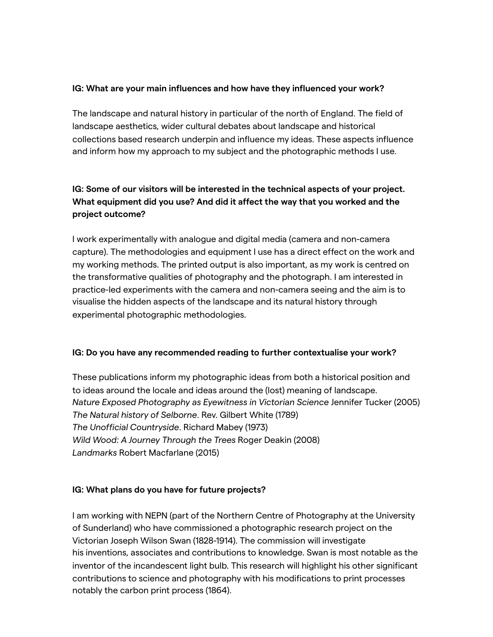# **IG: What are your main influences and how have they influenced your work?**

The landscape and natural history in particular of the north of England. The field of landscape aesthetics, wider cultural debates about landscape and historical collections based research underpin and influence my ideas. These aspects influence and inform how my approach to my subject and the photographic methods I use.

# **IG: Some of our visitors will be interested in the technical aspects of your project. What equipment did you use? And did it affect the way that you worked and the project outcome?**

I work experimentally with analogue and digital media (camera and non-camera capture). The methodologies and equipment I use has a direct effect on the work and my working methods. The printed output is also important, as my work is centred on the transformative qualities of photography and the photograph. I am interested in practice-led experiments with the camera and non-camera seeing and the aim is to visualise the hidden aspects of the landscape and its natural history through experimental photographic methodologies.

## **IG: Do you have any recommended reading to further contextualise your work?**

These publications inform my photographic ideas from both a historical position and to ideas around the locale and ideas around the (lost) meaning of landscape. *Nature Exposed Photography as Eyewitness in Victorian Science* Jennifer Tucker (2005) *The Natural history of Selborne*. Rev. Gilbert White (1789) *The Unofficial Countryside*. Richard Mabey (1973) *Wild Wood: A Journey Through the Trees* Roger Deakin (2008) *Landmarks* Robert Macfarlane (2015)

## **IG: What plans do you have for future projects?**

I am working with NEPN (part of the Northern Centre of Photography at the University of Sunderland) who have commissioned a photographic research project on the Victorian Joseph Wilson Swan (1828-1914). The commission will investigate his inventions, associates and contributions to knowledge. Swan is most notable as the inventor of the incandescent light bulb. This research will highlight his other significant contributions to science and photography with his modifications to print processes notably the carbon print process (1864).